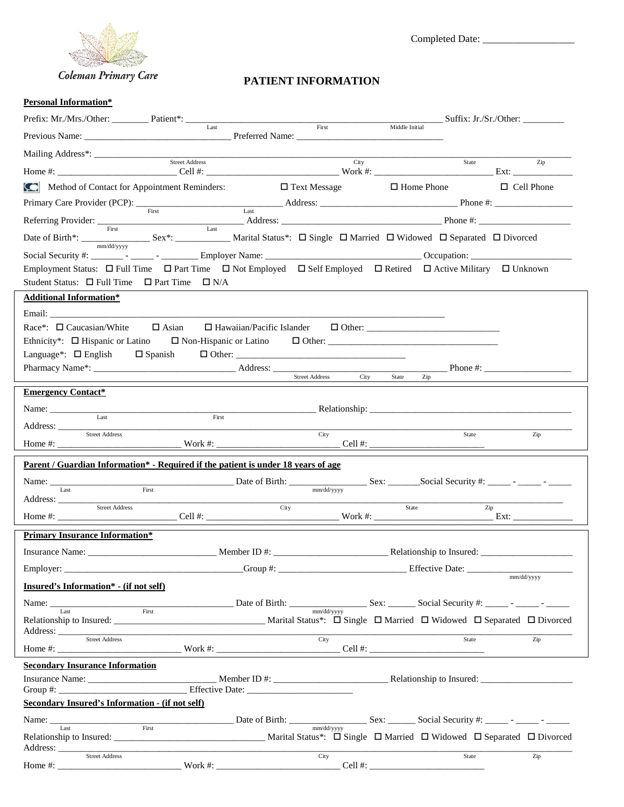

Completed Date: \_\_\_\_\_\_\_\_\_\_\_\_\_\_\_\_\_\_

# **PATIENT INFORMATION**

### **Personal Information\***

| Prefix: Mr./Mrs./Other: __________ Patient*: ______                                                                                                                                                                | Last                             |                     |                           | $\frac{Suffix: Jr./Sr./Other:$ |
|--------------------------------------------------------------------------------------------------------------------------------------------------------------------------------------------------------------------|----------------------------------|---------------------|---------------------------|--------------------------------|
|                                                                                                                                                                                                                    |                                  | First               | Middle Initial            |                                |
|                                                                                                                                                                                                                    |                                  |                     |                           |                                |
|                                                                                                                                                                                                                    |                                  |                     | City                      | State<br>Zip                   |
| Method of Contact for Appointment Reminders:                                                                                                                                                                       |                                  | $\Box$ Text Message | $\Box$ Home Phone         | $\Box$ Cell Phone              |
|                                                                                                                                                                                                                    |                                  |                     |                           |                                |
|                                                                                                                                                                                                                    |                                  |                     |                           |                                |
|                                                                                                                                                                                                                    |                                  |                     |                           |                                |
|                                                                                                                                                                                                                    |                                  |                     |                           |                                |
| Employment Status: $\Box$ Full Time $\Box$ Part Time $\Box$ Not Employed $\Box$ Self Employed $\Box$ Retired $\Box$ Active Military $\Box$ Unknown<br>Student Status: $\Box$ Full Time $\Box$ Part Time $\Box$ N/A |                                  |                     |                           |                                |
| <b>Additional Information*</b>                                                                                                                                                                                     |                                  |                     |                           |                                |
|                                                                                                                                                                                                                    |                                  |                     |                           |                                |
| $\text{Race}^*$ : $\Box$ Caucasian/White $\Box$ Asian $\Box$ Hawaiian/Pacific Islander $\Box$ Other:                                                                                                               |                                  |                     |                           |                                |
| Ethnicity*: $\Box$ Hispanic or Latino                                                                                                                                                                              | $\square$ Non-Hispanic or Latino |                     |                           |                                |
| Language <sup>*</sup> : $\Box$ English $\Box$ Spanish                                                                                                                                                              |                                  | $\Box$ Other:       |                           |                                |
|                                                                                                                                                                                                                    |                                  |                     | Zip                       | Phone $\#$ :                   |
| <b>Emergency Contact*</b>                                                                                                                                                                                          |                                  |                     |                           |                                |
| Name:                                                                                                                                                                                                              |                                  |                     |                           |                                |
| Last<br>Address:                                                                                                                                                                                                   | First                            |                     |                           |                                |
| Street Address                                                                                                                                                                                                     |                                  | City                |                           | State<br>Zip                   |
|                                                                                                                                                                                                                    |                                  |                     |                           |                                |
| Parent / Guardian Information* - Required if the patient is under 18 years of age                                                                                                                                  |                                  |                     |                           |                                |
|                                                                                                                                                                                                                    |                                  |                     |                           |                                |
| <b>Street Address</b>                                                                                                                                                                                              |                                  | City                | State                     | Zip                            |
|                                                                                                                                                                                                                    |                                  |                     |                           |                                |
| <b>Primary Insurance Information*</b>                                                                                                                                                                              |                                  |                     |                           |                                |
|                                                                                                                                                                                                                    |                                  |                     |                           |                                |
| Employer: $\_\_$                                                                                                                                                                                                   | $Group \#:$                      |                     | Effective Date: _________ |                                |
| <b>Insured's Information*</b> - (if not self)                                                                                                                                                                      |                                  |                     |                           | mm/dd/yyyy                     |
|                                                                                                                                                                                                                    |                                  |                     |                           |                                |
|                                                                                                                                                                                                                    |                                  |                     |                           |                                |
| Address: <u>Street Address</u>                                                                                                                                                                                     |                                  | City                |                           | State<br>Zip                   |
| <b>Secondary Insurance Information</b>                                                                                                                                                                             |                                  |                     |                           |                                |
|                                                                                                                                                                                                                    |                                  |                     |                           |                                |
| Secondary Insured's Information - (if not self)                                                                                                                                                                    |                                  |                     |                           |                                |
|                                                                                                                                                                                                                    |                                  |                     |                           |                                |
|                                                                                                                                                                                                                    |                                  |                     |                           |                                |
| Address: <u>Street Address</u>                                                                                                                                                                                     |                                  |                     |                           |                                |
|                                                                                                                                                                                                                    |                                  | City                |                           | Zip<br>State                   |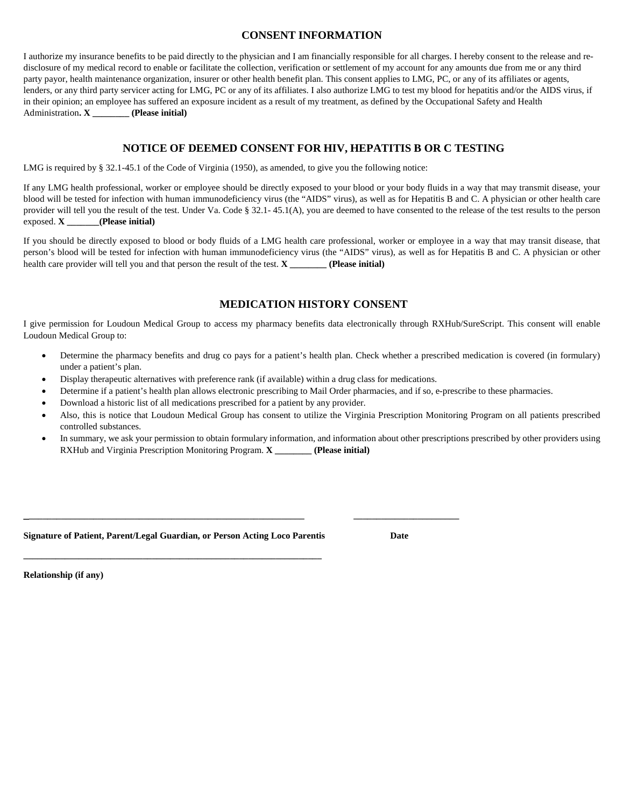### **CONSENT INFORMATION**

I authorize my insurance benefits to be paid directly to the physician and I am financially responsible for all charges. I hereby consent to the release and redisclosure of my medical record to enable or facilitate the collection, verification or settlement of my account for any amounts due from me or any third party payor, health maintenance organization, insurer or other health benefit plan. This consent applies to LMG, PC, or any of its affiliates or agents, lenders, or any third party servicer acting for LMG, PC or any of its affiliates. I also authorize LMG to test my blood for hepatitis and/or the AIDS virus, if in their opinion; an employee has suffered an exposure incident as a result of my treatment, as defined by the Occupational Safety and Health Administration**. X \_\_\_\_\_\_\_\_ (Please initial)**

### **NOTICE OF DEEMED CONSENT FOR HIV, HEPATITIS B OR C TESTING**

LMG is required by § 32.1-45.1 of the Code of Virginia (1950), as amended, to give you the following notice:

If any LMG health professional, worker or employee should be directly exposed to your blood or your body fluids in a way that may transmit disease, your blood will be tested for infection with human immunodeficiency virus (the "AIDS" virus), as well as for Hepatitis B and C. A physician or other health care provider will tell you the result of the test. Under Va. Code § 32.1- 45.1(A), you are deemed to have consented to the release of the test results to the person exposed. **X \_\_\_\_\_\_\_(Please initial)**

If you should be directly exposed to blood or body fluids of a LMG health care professional, worker or employee in a way that may transit disease, that person's blood will be tested for infection with human immunodeficiency virus (the "AIDS" virus), as well as for Hepatitis B and C. A physician or other health care provider will tell you and that person the result of the test. **X** (Please initial)

### **MEDICATION HISTORY CONSENT**

I give permission for Loudoun Medical Group to access my pharmacy benefits data electronically through RXHub/SureScript. This consent will enable Loudoun Medical Group to:

- Determine the pharmacy benefits and drug co pays for a patient's health plan. Check whether a prescribed medication is covered (in formulary) under a patient's plan.
- Display therapeutic alternatives with preference rank (if available) within a drug class for medications.

**\_\_\_\_\_\_\_\_\_\_\_\_\_\_\_\_\_\_\_\_\_\_\_\_\_\_\_\_\_\_\_\_\_\_\_\_\_\_\_\_\_\_\_\_\_\_\_\_\_\_\_\_\_\_\_\_\_\_\_\_\_ \_\_\_\_\_\_\_\_\_\_\_\_\_\_\_\_\_\_\_\_\_\_\_**

- Determine if a patient's health plan allows electronic prescribing to Mail Order pharmacies, and if so, e-prescribe to these pharmacies.
- Download a historic list of all medications prescribed for a patient by any provider.
- Also, this is notice that Loudoun Medical Group has consent to utilize the Virginia Prescription Monitoring Program on all patients prescribed controlled substances.
- In summary, we ask your permission to obtain formulary information, and information about other prescriptions prescribed by other providers using RXHub and Virginia Prescription Monitoring Program. **X \_\_\_\_\_\_\_\_ (Please initial)**

#### **Signature of Patient, Parent/Legal Guardian, or Person Acting Loco Parentis Date**

**\_\_\_\_\_\_\_\_\_\_\_\_\_\_\_\_\_\_\_\_\_\_\_\_\_\_\_\_\_\_\_\_\_\_\_\_\_\_\_\_\_\_\_\_\_\_\_\_\_\_\_\_\_\_\_\_\_\_\_\_\_\_\_\_\_**

**Relationship (if any)**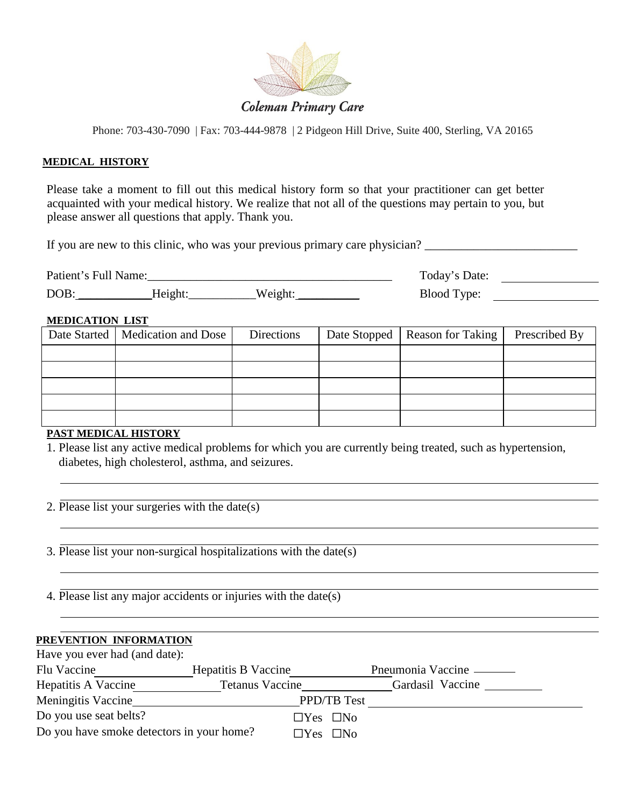

# **Coleman Primary Care**

Phone: 703-430-7090 | Fax: 703-444-9878 | 2 Pidgeon Hill Drive, Suite 400, Sterling, VA 20165

### **MEDICAL HISTORY**

Please take a moment to fill out this medical history form so that your practitioner can get better acquainted with your medical history. We realize that not all of the questions may pertain to you, but please answer all questions that apply. Thank you.

If you are new to this clinic, who was your previous primary care physician? \_\_\_\_\_\_\_\_\_\_\_\_\_\_\_\_\_\_\_\_\_\_\_\_\_\_\_\_\_\_\_\_\_

| Patient's Full Name: |                        |        | Today's Date:<br>. |
|----------------------|------------------------|--------|--------------------|
| DOB:                 | $\alpha$ 1 $\alpha$ h1 | Weicht | Blood T<br>vpe:    |

### **MEDICATION LIST**

| Date Started   Medication and Dose | Directions | Date Stopped   Reason for Taking | Prescribed By |
|------------------------------------|------------|----------------------------------|---------------|
|                                    |            |                                  |               |
|                                    |            |                                  |               |
|                                    |            |                                  |               |
|                                    |            |                                  |               |
|                                    |            |                                  |               |

### **PAST MEDICAL HISTORY**

1. Please list any active medical problems for which you are currently being treated, such as hypertension, diabetes, high cholesterol, asthma, and seizures.

- 2. Please list your surgeries with the date(s)
- 3. Please list your non-surgical hospitalizations with the date(s)
- 4. Please list any major accidents or injuries with the date(s)

### **PREVENTION INFORMATION**

| Have you ever had (and date):             |                        |                     |
|-------------------------------------------|------------------------|---------------------|
| Flu Vaccine                               | Hepatitis B Vaccine    | Pneumonia Vaccine — |
| Hepatitis A Vaccine                       | <b>Tetanus Vaccine</b> | Gardasil Vaccine    |
| <b>Meningitis Vaccine</b>                 |                        | <b>PPD/TB Test</b>  |
| Do you use seat belts?                    | $\Box$ Yes $\Box$ No   |                     |
| Do you have smoke detectors in your home? | $\Box$ Yes $\Box$ No   |                     |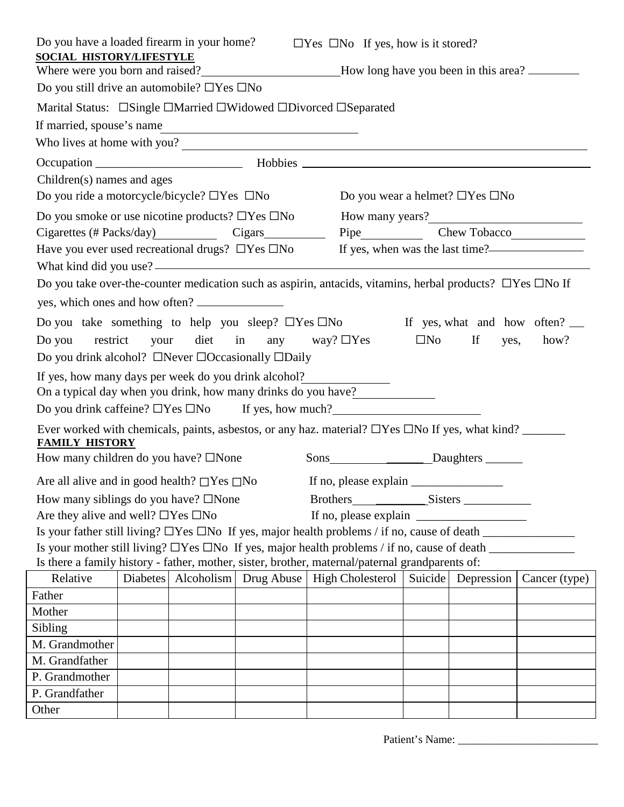| Do you have a loaded firearm in your home?                                                                                                                     |  |                     |  | $\Box$ Yes $\Box$ No If yes, how is it stored?                                                                        |              |                                            |               |
|----------------------------------------------------------------------------------------------------------------------------------------------------------------|--|---------------------|--|-----------------------------------------------------------------------------------------------------------------------|--------------|--------------------------------------------|---------------|
| <b>SOCIAL HISTORY/LIFESTYLE</b>                                                                                                                                |  |                     |  |                                                                                                                       |              |                                            |               |
| Where were you born and raised?________________________How long have you been in this area? ________<br>Do you still drive an automobile? $\Box$ Yes $\Box$ No |  |                     |  |                                                                                                                       |              |                                            |               |
|                                                                                                                                                                |  |                     |  | Marital Status: □Single □Married □Widowed □Divorced □Separated                                                        |              |                                            |               |
|                                                                                                                                                                |  |                     |  |                                                                                                                       |              |                                            |               |
| If married, spouse's name                                                                                                                                      |  |                     |  |                                                                                                                       |              |                                            |               |
|                                                                                                                                                                |  |                     |  | Who lives at home with you?                                                                                           |              |                                            |               |
|                                                                                                                                                                |  |                     |  |                                                                                                                       |              |                                            |               |
| Children(s) names and ages                                                                                                                                     |  |                     |  |                                                                                                                       |              |                                            |               |
| Do you ride a motorcycle/bicycle? $\Box$ Yes $\Box$ No                                                                                                         |  |                     |  |                                                                                                                       |              | Do you wear a helmet? $\Box$ Yes $\Box$ No |               |
| Do you smoke or use nicotine products? $\Box$ Yes $\Box$ No                                                                                                    |  |                     |  |                                                                                                                       |              |                                            |               |
|                                                                                                                                                                |  |                     |  | Cigarettes (# Packs/day) Cigars Cigars Pipe Chew Tobacco                                                              |              |                                            |               |
|                                                                                                                                                                |  |                     |  | Have you ever used recreational drugs? □ Yes □ No If yes, when was the last time?——————————————————                   |              |                                            |               |
|                                                                                                                                                                |  |                     |  | Do you take over-the-counter medication such as aspirin, antacids, vitamins, herbal products? $\Box$ Yes $\Box$ No If |              |                                            |               |
| yes, which ones and how often?                                                                                                                                 |  |                     |  |                                                                                                                       |              |                                            |               |
|                                                                                                                                                                |  |                     |  |                                                                                                                       |              |                                            |               |
|                                                                                                                                                                |  |                     |  | Do you take something to help you sleep? $\Box$ Yes $\Box$ No If yes, what and how often? $\Box$                      |              |                                            |               |
|                                                                                                                                                                |  |                     |  | Do you restrict your diet in any way? $\Box$ Yes                                                                      | $\square$ No | If<br>yes,                                 | how?          |
| Do you drink alcohol? $\Box$ Never $\Box$ Occasionally $\Box$ Daily                                                                                            |  |                     |  |                                                                                                                       |              |                                            |               |
|                                                                                                                                                                |  |                     |  | If yes, how many days per week do you drink alcohol?                                                                  |              |                                            |               |
|                                                                                                                                                                |  |                     |  | On a typical day when you drink, how many drinks do you have?                                                         |              |                                            |               |
|                                                                                                                                                                |  |                     |  | Do you drink caffeine? $\Box$ Yes $\Box$ No If yes, how much?                                                         |              |                                            |               |
|                                                                                                                                                                |  |                     |  |                                                                                                                       |              |                                            |               |
| <b>FAMILY HISTORY</b>                                                                                                                                          |  |                     |  |                                                                                                                       |              |                                            |               |
| How many children do you have? $\square$ None                                                                                                                  |  |                     |  | Sons________________________Daughters ________                                                                        |              |                                            |               |
| Are all alive and in good health? $\Box$ Yes $\Box$ No                                                                                                         |  |                     |  |                                                                                                                       |              |                                            |               |
| How many siblings do you have? $\square$ None                                                                                                                  |  |                     |  | Brothers Sisters                                                                                                      |              |                                            |               |
| Are they alive and well? $\Box$ Yes $\Box$ No                                                                                                                  |  |                     |  | If no, please explain                                                                                                 |              |                                            |               |
|                                                                                                                                                                |  |                     |  | Is your father still living? $\Box$ Yes $\Box$ No If yes, major health problems / if no, cause of death $\Box$        |              |                                            |               |
|                                                                                                                                                                |  |                     |  | Is your mother still living? $\Box$ Yes $\Box$ No If yes, major health problems / if no, cause of death $\Box$        |              |                                            |               |
|                                                                                                                                                                |  |                     |  | Is there a family history - father, mother, sister, brother, maternal/paternal grandparents of:                       |              |                                            |               |
| Relative                                                                                                                                                       |  | Diabetes Alcoholism |  | Drug Abuse   High Cholesterol                                                                                         | Suicide      | Depression                                 | Cancer (type) |
| Father                                                                                                                                                         |  |                     |  |                                                                                                                       |              |                                            |               |
| Mother                                                                                                                                                         |  |                     |  |                                                                                                                       |              |                                            |               |
| Sibling                                                                                                                                                        |  |                     |  |                                                                                                                       |              |                                            |               |
| M. Grandmother                                                                                                                                                 |  |                     |  |                                                                                                                       |              |                                            |               |
| M. Grandfather                                                                                                                                                 |  |                     |  |                                                                                                                       |              |                                            |               |
| P. Grandmother                                                                                                                                                 |  |                     |  |                                                                                                                       |              |                                            |               |
| P. Grandfather                                                                                                                                                 |  |                     |  |                                                                                                                       |              |                                            |               |
| Other                                                                                                                                                          |  |                     |  |                                                                                                                       |              |                                            |               |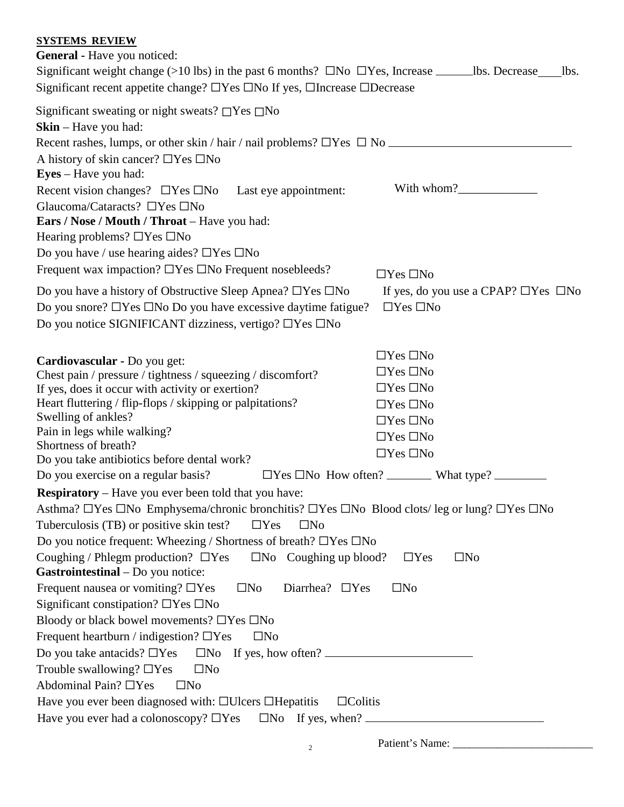# **SYSTEMS REVIEW**

| <b>General</b> - Have you noticed:                                                                                    |                                                 |
|-----------------------------------------------------------------------------------------------------------------------|-------------------------------------------------|
| Significant weight change (>10 lbs) in the past 6 months? $\square$ No $\square$ Yes, Increase _________lbs. Decrease | lbs.                                            |
| Significant recent appetite change? $\Box$ Yes $\Box$ No If yes, $\Box$ Increase $\Box$ Decrease                      |                                                 |
| Significant sweating or night sweats? $\Box$ Yes $\Box$ No<br>$\mathbf{Skin} - \mathbf{Have}$ you had:                |                                                 |
| Recent rashes, lumps, or other skin / hair / nail problems? $\Box$ Yes $\Box$ No $\Box$                               |                                                 |
| A history of skin cancer? $\Box$ Yes $\Box$ No                                                                        |                                                 |
| <b>Eyes</b> – Have you had:                                                                                           |                                                 |
| Recent vision changes? $\Box$ Yes $\Box$ No Last eye appointment:                                                     | With whom?                                      |
| Glaucoma/Cataracts? $\Box$ Yes $\Box$ No                                                                              |                                                 |
| <b>Ears / Nose / Mouth / Throat</b> – Have you had:                                                                   |                                                 |
| Hearing problems? $\Box$ Yes $\Box$ No                                                                                |                                                 |
| Do you have / use hearing aides? $\Box$ Yes $\Box$ No                                                                 |                                                 |
| Frequent wax impaction? □Yes □No Frequent nosebleeds?                                                                 | $\Box$ Yes $\Box$ No                            |
| Do you have a history of Obstructive Sleep Apnea? $\Box$ Yes $\Box$ No                                                | If yes, do you use a CPAP? $\Box$ Yes $\Box$ No |
| Do you snore? □Yes □No Do you have excessive daytime fatigue?                                                         | $\Box$ Yes $\Box$ No                            |
| Do you notice SIGNIFICANT dizziness, vertigo? □Yes □No                                                                |                                                 |
|                                                                                                                       |                                                 |
|                                                                                                                       | $\Box$ Yes $\Box$ No                            |
| Cardiovascular - Do you get:<br>Chest pain / pressure / tightness / squeezing / discomfort?                           | $\Box$ Yes $\Box$ No                            |
| If yes, does it occur with activity or exertion?                                                                      | $\Box$ Yes $\Box$ No                            |
| Heart fluttering / flip-flops / skipping or palpitations?                                                             | $\Box$ Yes $\Box$ No                            |
| Swelling of ankles?                                                                                                   | $\Box$ Yes $\Box$ No                            |
| Pain in legs while walking?                                                                                           | $\Box$ Yes $\Box$ No                            |
| Shortness of breath?                                                                                                  | $\Box$ Yes $\Box$ No                            |
| Do you take antibiotics before dental work?<br>Do you exercise on a regular basis?                                    |                                                 |
| <b>Respiratory</b> – Have you ever been told that you have:                                                           |                                                 |
| Asthma? □Yes □No Emphysema/chronic bronchitis? □Yes □No Blood clots/leg or lung? □Yes □No                             |                                                 |
| Tuberculosis (TB) or positive skin test?<br>$\Box$ Yes<br>$\square$ No                                                |                                                 |
| Do you notice frequent: Wheezing / Shortness of breath? $\Box$ Yes $\Box$ No                                          |                                                 |
| Coughing / Phlegm production? $\Box$ Yes<br>$\square$ No Coughing up blood?                                           | $\square$ No<br>$\Box$ Yes                      |
| Gastrointestinal - Do you notice:                                                                                     |                                                 |
| Frequent nausea or vomiting? $\Box$ Yes<br>Diarrhea? $\Box$ Yes<br>$\square$ No                                       | $\square$ No                                    |
| Significant constipation? $\Box$ Yes $\Box$ No                                                                        |                                                 |
| Bloody or black bowel movements? $\Box$ Yes $\Box$ No                                                                 |                                                 |
| Frequent heartburn / indigestion? $\Box$ Yes<br>$\square$ No                                                          |                                                 |
| Do you take antacids? $\Box$ Yes $\Box$ No If yes, how often? $\Box$                                                  |                                                 |
| Trouble swallowing? $\Box$ Yes<br>$\square$ No                                                                        |                                                 |
| Abdominal Pain? $\Box$ Yes<br>$\square$ No                                                                            |                                                 |
| Have you ever been diagnosed with: □Ulcers □Hepatitis<br>$\Box$ Colitis                                               |                                                 |
| Have you ever had a colonoscopy? $\Box$ Yes<br>$\Box$ No If yes, when? $\Box$                                         |                                                 |

Patient's Name: \_\_\_\_\_\_\_\_\_\_\_\_\_\_\_\_\_\_\_\_\_\_\_\_\_ <sup>2</sup>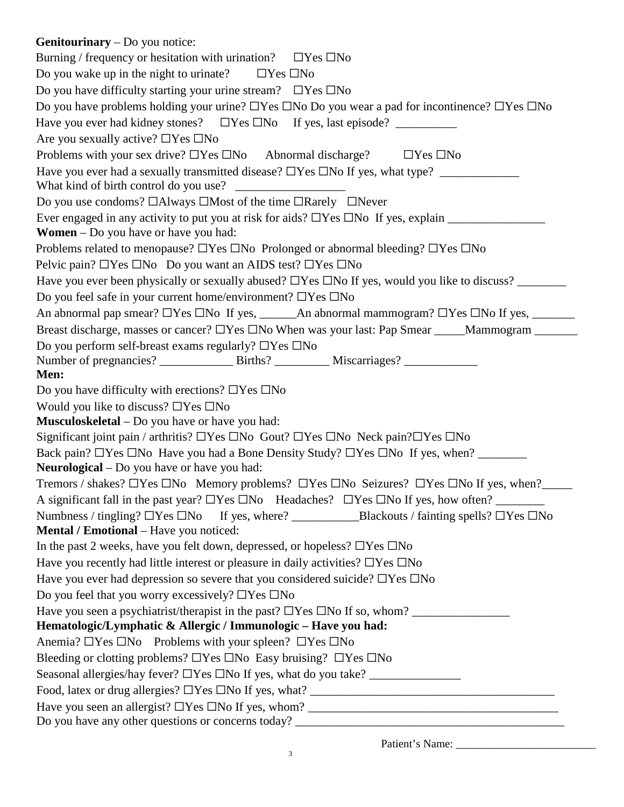| <b>Genitourinary</b> – Do you notice:                                                                                     |
|---------------------------------------------------------------------------------------------------------------------------|
| Burning / frequency or hesitation with urination? $\Box$ Yes $\Box$ No                                                    |
| Do you wake up in the night to urinate? $\Box$ Yes $\Box$ No                                                              |
| Do you have difficulty starting your urine stream? $\Box$ Yes $\Box$ No                                                   |
| Do you have problems holding your urine? $\Box$ Yes $\Box$ No Do you wear a pad for incontinence? $\Box$ Yes $\Box$ No    |
| Have you ever had kidney stones? □ Yes □ No If yes, last episode? ___________                                             |
| Are you sexually active? $\Box$ Yes $\Box$ No                                                                             |
| Problems with your sex drive? $\Box$ Yes $\Box$ No Abnormal discharge? $\Box$ Yes $\Box$ No                               |
| Have you ever had a sexually transmitted disease? $\Box$ Yes $\Box$ No If yes, what type? ______________                  |
|                                                                                                                           |
| Do you use condoms? □Always □Most of the time □Rarely □Never                                                              |
| Ever engaged in any activity to put you at risk for aids? $\Box$ Yes $\Box$ No If yes, explain $\Box$                     |
| <b>Women</b> $-$ Do you have or have you had:                                                                             |
| Problems related to menopause? $\Box$ Yes $\Box$ No Prolonged or abnormal bleeding? $\Box$ Yes $\Box$ No                  |
| Pelvic pain? □Yes □No Do you want an AIDS test? □Yes □No                                                                  |
|                                                                                                                           |
| Do you feel safe in your current home/environment? □Yes □No                                                               |
|                                                                                                                           |
| Breast discharge, masses or cancer? □Yes □No When was your last: Pap Smear _____Mammogram _______                         |
| Do you perform self-breast exams regularly? □Yes □No                                                                      |
| Men:                                                                                                                      |
| Do you have difficulty with erections? $\Box$ Yes $\Box$ No                                                               |
| Would you like to discuss? $\Box$ Yes $\Box$ No                                                                           |
| <b>Musculoskeletal</b> – Do you have or have you had:                                                                     |
| Significant joint pain / arthritis? $\Box$ Yes $\Box$ No Gout? $\Box$ Yes $\Box$ No Neck pain? $\Box$ Yes $\Box$ No       |
| Back pain? □Yes □No Have you had a Bone Density Study? □Yes □No If yes, when? _______                                     |
| Neurological - Do you have or have you had:                                                                               |
| Tremors / shakes? $\Box$ Yes $\Box$ No Memory problems? $\Box$ Yes $\Box$ No Seizures? $\Box$ Yes $\Box$ No If yes, when? |
|                                                                                                                           |
| Numbness / tingling? □Yes □No If yes, where? _____________________Blackouts / fainting spells? □Yes □No                   |
| Mental / Emotional - Have you noticed:                                                                                    |
| In the past 2 weeks, have you felt down, depressed, or hopeless? $\Box$ Yes $\Box$ No                                     |
| Have you recently had little interest or pleasure in daily activities? $\Box$ Yes $\Box$ No                               |
| Have you ever had depression so severe that you considered suicide? $\Box$ Yes $\Box$ No                                  |
| Do you feel that you worry excessively? $\Box$ Yes $\Box$ No                                                              |
|                                                                                                                           |
| Hematologic/Lymphatic & Allergic / Immunologic - Have you had:                                                            |
| Anemia? $\Box$ Yes $\Box$ No Problems with your spleen? $\Box$ Yes $\Box$ No                                              |
| Bleeding or clotting problems? □Yes □No Easy bruising? □Yes □No                                                           |
| Seasonal allergies/hay fever? □Yes □No If yes, what do you take? _______________                                          |
|                                                                                                                           |
|                                                                                                                           |
|                                                                                                                           |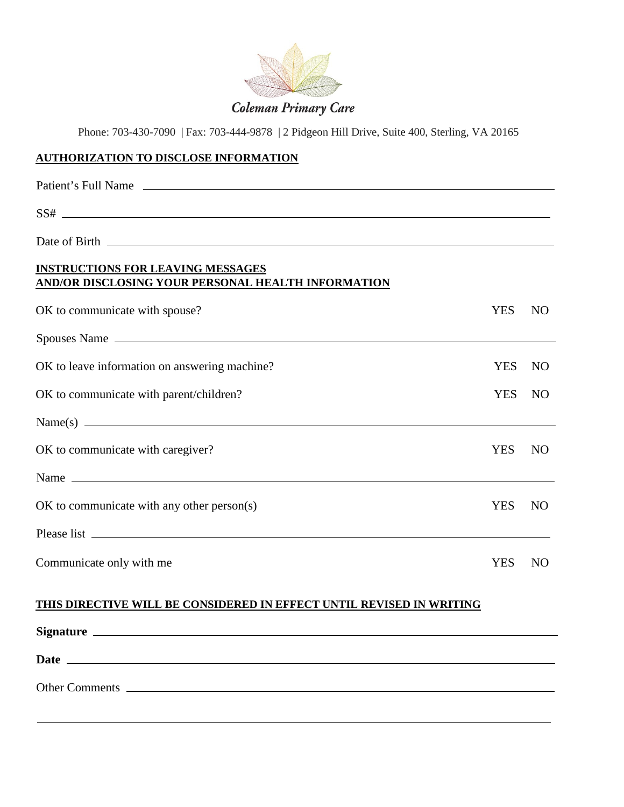

### **AUTHORIZATION TO DISCLOSE INFORMATION**

| Patient's Full Name                                                                                                                                                                                                                  |            |                |
|--------------------------------------------------------------------------------------------------------------------------------------------------------------------------------------------------------------------------------------|------------|----------------|
|                                                                                                                                                                                                                                      |            |                |
|                                                                                                                                                                                                                                      |            |                |
| <b>INSTRUCTIONS FOR LEAVING MESSAGES</b><br>AND/OR DISCLOSING YOUR PERSONAL HEALTH INFORMATION                                                                                                                                       |            |                |
| OK to communicate with spouse?                                                                                                                                                                                                       | <b>YES</b> | N <sub>O</sub> |
| Spouses Name                                                                                                                                                                                                                         |            |                |
| OK to leave information on answering machine?                                                                                                                                                                                        | <b>YES</b> | N <sub>O</sub> |
| OK to communicate with parent/children?                                                                                                                                                                                              | <b>YES</b> | N <sub>O</sub> |
|                                                                                                                                                                                                                                      |            |                |
| OK to communicate with caregiver?                                                                                                                                                                                                    | <b>YES</b> | N <sub>O</sub> |
|                                                                                                                                                                                                                                      |            |                |
| $OK$ to communicate with any other person $(s)$                                                                                                                                                                                      | <b>YES</b> | N <sub>O</sub> |
|                                                                                                                                                                                                                                      |            |                |
| Communicate only with me                                                                                                                                                                                                             | <b>YES</b> | N <sub>O</sub> |
| THIS DIRECTIVE WILL BE CONSIDERED IN EFFECT UNTIL REVISED IN WRITING                                                                                                                                                                 |            |                |
|                                                                                                                                                                                                                                      |            |                |
| Date <u>and the second contract of the second contract of the second contract of the second contract of the second contract of the second contract of the second contract of the second contract of the second contract of the s</u> |            |                |
| Other Comments                                                                                                                                                                                                                       |            |                |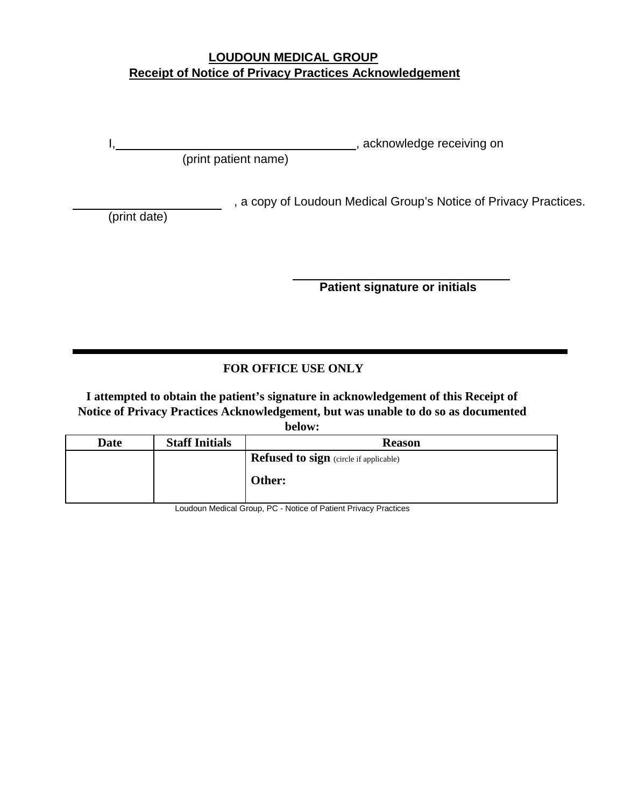# **LOUDOUN MEDICAL GROUP Receipt of Notice of Privacy Practices Acknowledgement**

I, Martin Communication and the set of the set of the set of the set of the set of the set of the set of the set of the set of the set of the set of the set of the set of the set of the set of the set of the set of the set

(print patient name)

, a copy of Loudoun Medical Group's Notice of Privacy Practices.

(print date)

**Patient signature or initials**

# **FOR OFFICE USE ONLY**

**I attempted to obtain the patient's signature in acknowledgement of this Receipt of Notice of Privacy Practices Acknowledgement, but was unable to do so as documented** 

**below:**

| Date | <b>Staff Initials</b> | <b>Reason</b>                                 |
|------|-----------------------|-----------------------------------------------|
|      |                       | <b>Refused to sign</b> (circle if applicable) |
|      |                       | Other:                                        |

Loudoun Medical Group, PC - Notice of Patient Privacy Practices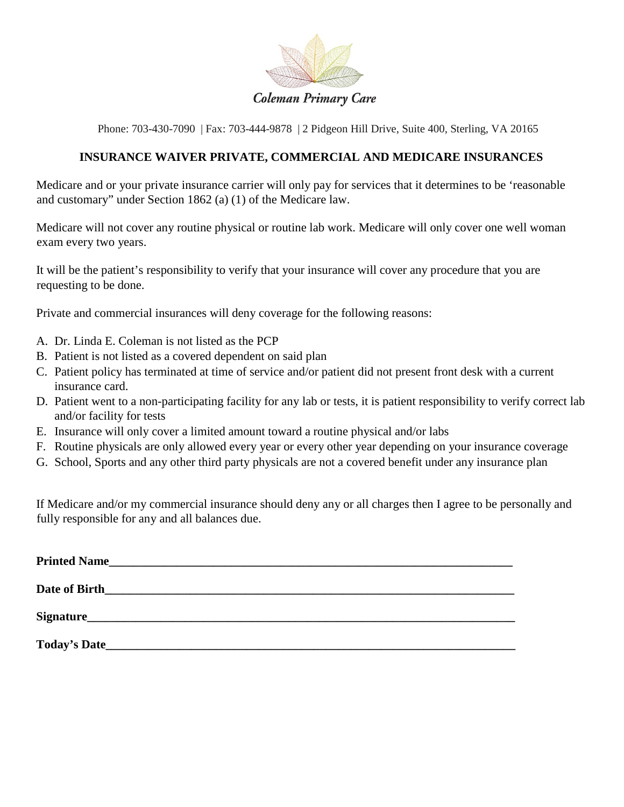

### **INSURANCE WAIVER PRIVATE, COMMERCIAL AND MEDICARE INSURANCES**

Medicare and or your private insurance carrier will only pay for services that it determines to be 'reasonable and customary" under Section 1862 (a) (1) of the Medicare law.

Medicare will not cover any routine physical or routine lab work. Medicare will only cover one well woman exam every two years.

It will be the patient's responsibility to verify that your insurance will cover any procedure that you are requesting to be done.

Private and commercial insurances will deny coverage for the following reasons:

- A. Dr. Linda E. Coleman is not listed as the PCP
- B. Patient is not listed as a covered dependent on said plan
- C. Patient policy has terminated at time of service and/or patient did not present front desk with a current insurance card.
- D. Patient went to a non-participating facility for any lab or tests, it is patient responsibility to verify correct lab and/or facility for tests
- E. Insurance will only cover a limited amount toward a routine physical and/or labs
- F. Routine physicals are only allowed every year or every other year depending on your insurance coverage
- G. School, Sports and any other third party physicals are not a covered benefit under any insurance plan

If Medicare and/or my commercial insurance should deny any or all charges then I agree to be personally and fully responsible for any and all balances due.

| Date of Birth |  |  |
|---------------|--|--|
|               |  |  |
|               |  |  |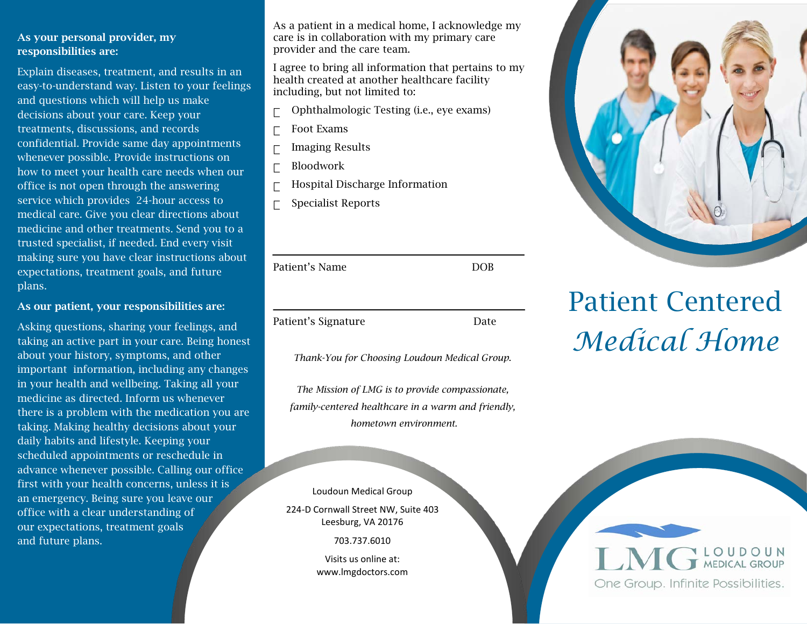### As your personal provider, my responsibilities are:

Explain diseases, treatment, and results in an easy-to-understand way. Listen to your feelings and questions which will help us make decisions about your care. Keep your treatments, discussions, and records confidential. Provide same day appointments whenever possible. Provide instructions on how to meet your health care needs when our office is not open through the answering service which provides 24-hour access to medical care. Give you clear directions about medicine and other treatments. Send you to a trusted specialist, if needed. End every visit making sure you have clear instructions about expectations, treatment goals, and future plans.

### As our patient, your responsibilities are:

Asking questions, sharing your feelings, and taking an active part in your care. Being honest about your history, symptoms, and other important information, including any changes in your health and wellbeing. Taking all your medicine as directed. Inform us whenever there is a problem with the medication you are taking. Making healthy decisions about your daily habits and lifestyle. Keeping your scheduled appointments or reschedule in advance whenever possible. Calling our office first with your health concerns, unless it is an emergency. Being sure you leave our office with a clear understanding of our expectations, treatment goals and future plans.

As a patient in a medical home, I acknowledge my care is in collaboration with my primary care provider and the care team.

I agree to bring all information that pertains to my health created at another healthcare facility including, but not limited to:

- Ophthalmologic Testing (i.e., eye exams)
- $\Gamma$  Foot Exams
- $\Box$  Imaging Results
- Bloodwork
- Hospital Discharge Information
- Specialist Reports

| Patient's Name      | <b>DOB</b> |
|---------------------|------------|
|                     |            |
| Patient's Signature | Date       |

*Thank-You for Choosing Loudoun Medical Group.*

*The Mission of LMG is to provide compassionate, family-centered healthcare in a warm and friendly, hometown environment.*

Loudoun Medical Group

224-D Cornwall Street NW, Suite 403 Leesburg, VA 20176

703.737.6010

Visits us online at: www.lmgdoctors.com



# Patient Centered *Medical Home*

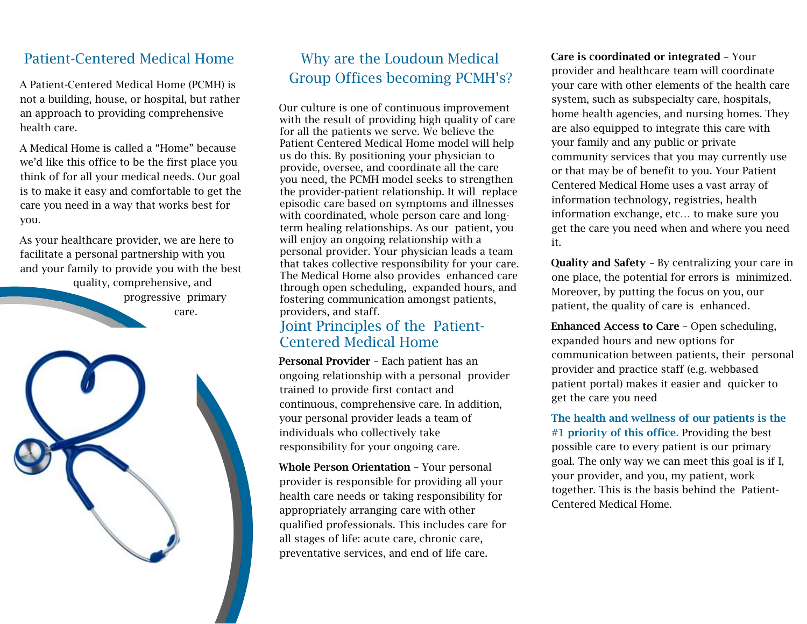# Patient-Centered Medical Home

A Patient-Centered Medical Home (PCMH) is not a building, house, or hospital, but rather an approach to providing comprehensive health care.

A Medical Home is called a "Home" because we'd like this office to be the first place you think of for all your medical needs. Our goal is to make it easy and comfortable to get the care you need in a way that works best for you.

As your healthcare provider, we are here to facilitate a personal partnership with you and your family to provide you with the best quality, comprehensive, and progressive primary care.



# Why are the Loudoun Medical Group Offices becoming PCMH's?

Our culture is one of continuous improvement with the result of providing high quality of care for all the patients we serve. We believe the Patient Centered Medical Home model will help us do this. By positioning your physician to provide, oversee, and coordinate all the care you need, the PCMH model seeks to strengthen the provider-patient relationship. It will replace episodic care based on symptoms and illnesses with coordinated, whole person care and longterm healing relationships. As our patient, you will enjoy an ongoing relationship with a personal provider. Your physician leads a team that takes collective responsibility for your care. The Medical Home also provides enhanced care through open scheduling, expanded hours, and fostering communication amongst patients, providers, and staff.

# Joint Principles of the Patient-Centered Medical Home

Personal Provider – Each patient has an ongoing relationship with a personal provider trained to provide first contact and continuous, comprehensive care. In addition, your personal provider leads a team of individuals who collectively take responsibility for your ongoing care.

Whole Person Orientation – Your personal provider is responsible for providing all your health care needs or taking responsibility for appropriately arranging care with other qualified professionals. This includes care for all stages of life: acute care, chronic care, preventative services, and end of life care.

Care is coordinated or integrated – Your provider and healthcare team will coordinate your care with other elements of the health care system, such as subspecialty care, hospitals, home health agencies, and nursing homes. They are also equipped to integrate this care with your family and any public or private community services that you may currently use or that may be of benefit to you. Your Patient Centered Medical Home uses a vast array of information technology, registries, health information exchange, etc… to make sure you get the care you need when and where you need it.

Quality and Safety – By centralizing your care in one place, the potential for errors is minimized. Moreover, by putting the focus on you, our patient, the quality of care is enhanced.

Enhanced Access to Care – Open scheduling, expanded hours and new options for communication between patients, their personal provider and practice staff (e.g. webbased patient portal) makes it easier and quicker to get the care you need

The health and wellness of our patients is the #1 priority of this office. Providing the best possible care to every patient is our primary goal. The only way we can meet this goal is if I, your provider, and you, my patient, work together. This is the basis behind the Patient-Centered Medical Home.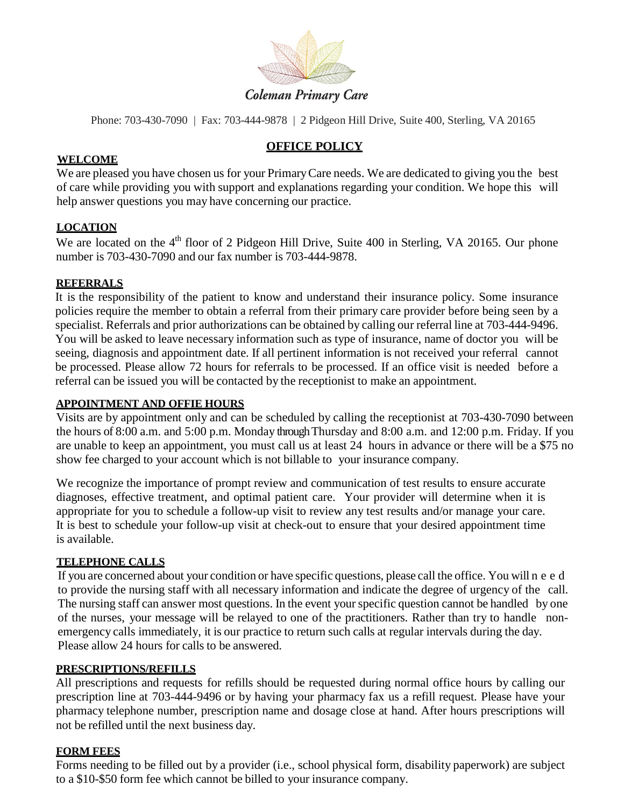

**Coleman Primary Care** 

# **OFFICE POLICY**

### **WELCOME**

We are pleased you have chosen us for your Primary Care needs. We are dedicated to giving you the best of care while providing you with support and explanations regarding your condition. We hope this will help answer questions you may have concerning our practice.

### **LOCATION**

We are located on the  $4<sup>th</sup>$  floor of 2 Pidgeon Hill Drive, Suite 400 in Sterling, VA 20165. Our phone number is 703-430-7090 and our fax number is 703-444-9878.

### **REFERRALS**

It is the responsibility of the patient to know and understand their insurance policy. Some insurance policies require the member to obtain a referral from their primary care provider before being seen by a specialist. Referrals and prior authorizations can be obtained by calling our referral line at 703-444-9496. You will be asked to leave necessary information such as type of insurance, name of doctor you will be seeing, diagnosis and appointment date. If all pertinent information is not received your referral cannot be processed. Please allow 72 hours for referrals to be processed. If an office visit is needed before a referral can be issued you will be contacted by the receptionist to make an appointment.

### **APPOINTMENT AND OFFIE HOURS**

Visits are by appointment only and can be scheduled by calling the receptionist at 703-430-7090 between the hours of 8:00 a.m. and 5:00 p.m. Monday through Thursday and 8:00 a.m. and 12:00 p.m. Friday. If you are unable to keep an appointment, you must call us at least 24 hours in advance or there will be a \$75 no show fee charged to your account which is not billable to your insurance company.

We recognize the importance of prompt review and communication of test results to ensure accurate diagnoses, effective treatment, and optimal patient care. Your provider will determine when it is appropriate for you to schedule a follow-up visit to review any test results and/or manage your care. It is best to schedule your follow-up visit at check-out to ensure that your desired appointment time is available.

### **TELEPHONE CALLS**

If you are concerned about your condition or have specific questions, please call the office. You will need to provide the nursing staff with all necessary information and indicate the degree of urgency of the call. The nursing staff can answer most questions. In the event your specific question cannot be handled by one of the nurses, your message will be relayed to one of the practitioners. Rather than try to handle nonemergency calls immediately, it is our practice to return such calls at regular intervals during the day. Please allow 24 hours for calls to be answered.

### **PRESCRIPTIONS/REFILLS**

All prescriptions and requests for refills should be requested during normal office hours by calling our prescription line at 703-444-9496 or by having your pharmacy fax us a refill request. Please have your pharmacy telephone number, prescription name and dosage close at hand. After hours prescriptions will not be refilled until the next business day.

### **FORM FEES**

Forms needing to be filled out by a provider (i.e., school physical form, disability paperwork) are subject to a \$10-\$50 form fee which cannot be billed to your insurance company.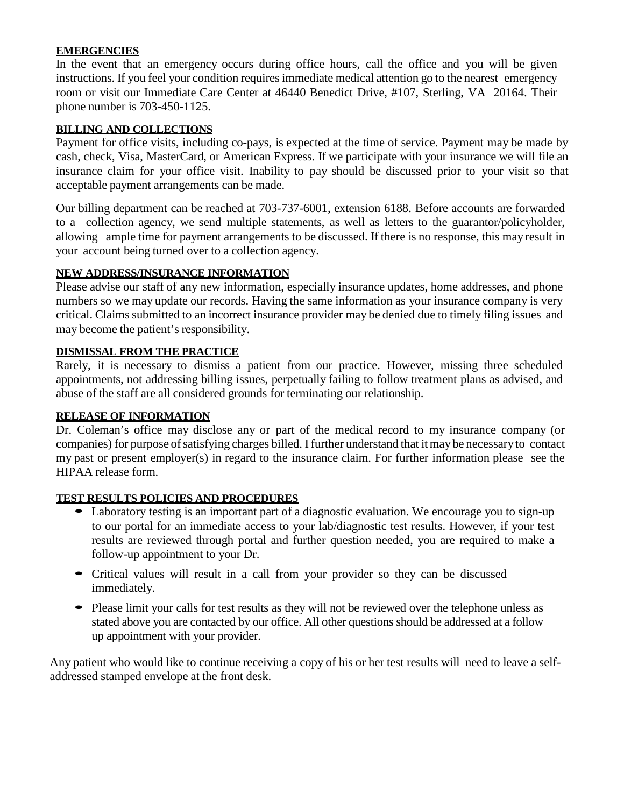### **EMERGENCIES**

In the event that an emergency occurs during office hours, call the office and you will be given instructions. If you feel your condition requires immediate medical attention go to the nearest emergency room or visit our Immediate Care Center at 46440 Benedict Drive, #107, Sterling, VA 20164. Their phone number is 703-450-1125.

### **BILLING AND COLLECTIONS**

Payment for office visits, including co-pays, is expected at the time of service. Payment may be made by cash, check, Visa, MasterCard, or American Express. If we participate with your insurance we will file an insurance claim for your office visit. Inability to pay should be discussed prior to your visit so that acceptable payment arrangements can be made.

Our billing department can be reached at 703-737-6001, extension 6188. Before accounts are forwarded to a collection agency, we send multiple statements, as well as letters to the guarantor/policyholder, allowing ample time for payment arrangements to be discussed. If there is no response, this may result in your account being turned over to a collection agency.

### **NEW ADDRESS/INSURANCE INFORMATION**

Please advise our staff of any new information, especially insurance updates, home addresses, and phone numbers so we may update our records. Having the same information as your insurance company is very critical. Claims submitted to an incorrect insurance provider may be denied due to timely filing issues and may become the patient's responsibility.

### **DISMISSAL FROM THE PRACTICE**

Rarely, it is necessary to dismiss a patient from our practice. However, missing three scheduled appointments, not addressing billing issues, perpetually failing to follow treatment plans as advised, and abuse of the staff are all considered grounds for terminating our relationship.

### **RELEASE OF INFORMATION**

Dr. Coleman's office may disclose any or part of the medical record to my insurance company (or companies) for purpose of satisfying charges billed. I further understand that itmay be necessaryto contact my past or present employer(s) in regard to the insurance claim. For further information please see the HIPAA release form.

### **TEST RESULTS POLICIES AND PROCEDURES**

- Laboratory testing is an important part of a diagnostic evaluation. We encourage you to sign-up to our portal for an immediate access to your lab/diagnostic test results. However, if your test results are reviewed through portal and further question needed, you are required to make a follow-up appointment to your Dr.
- Critical values will result in a call from your provider so they can be discussed immediately.
- Please limit your calls for test results as they will not be reviewed over the telephone unless as stated above you are contacted by our office. All other questions should be addressed at a follow up appointment with your provider.

Any patient who would like to continue receiving a copy of his or her test results will need to leave a selfaddressed stamped envelope at the front desk.